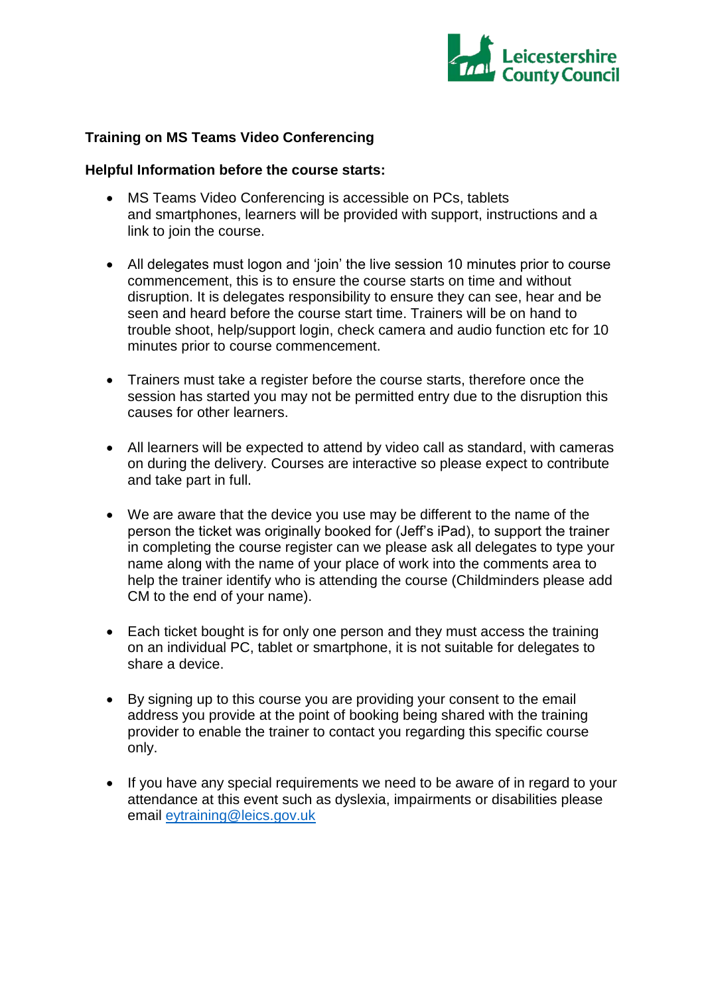

## **Training on MS Teams Video Conferencing**

#### **Helpful Information before the course starts:**

- MS Teams Video Conferencing is accessible on PCs, tablets and smartphones, learners will be provided with support, instructions and a link to join the course.
- All delegates must logon and 'join' the live session 10 minutes prior to course commencement, this is to ensure the course starts on time and without disruption. It is delegates responsibility to ensure they can see, hear and be seen and heard before the course start time. Trainers will be on hand to trouble shoot, help/support login, check camera and audio function etc for 10 minutes prior to course commencement.
- Trainers must take a register before the course starts, therefore once the session has started you may not be permitted entry due to the disruption this causes for other learners.
- All learners will be expected to attend by video call as standard, with cameras on during the delivery. Courses are interactive so please expect to contribute and take part in full.
- We are aware that the device you use may be different to the name of the person the ticket was originally booked for (Jeff's iPad), to support the trainer in completing the course register can we please ask all delegates to type your name along with the name of your place of work into the comments area to help the trainer identify who is attending the course (Childminders please add CM to the end of your name).
- Each ticket bought is for only one person and they must access the training on an individual PC, tablet or smartphone, it is not suitable for delegates to share a device.
- By signing up to this course you are providing your consent to the email address you provide at the point of booking being shared with the training provider to enable the trainer to contact you regarding this specific course only.
- If you have any special requirements we need to be aware of in regard to your attendance at this event such as dyslexia, impairments or disabilities please email [eytraining@leics.gov.uk](mailto:eytraining@leics.gov.uk)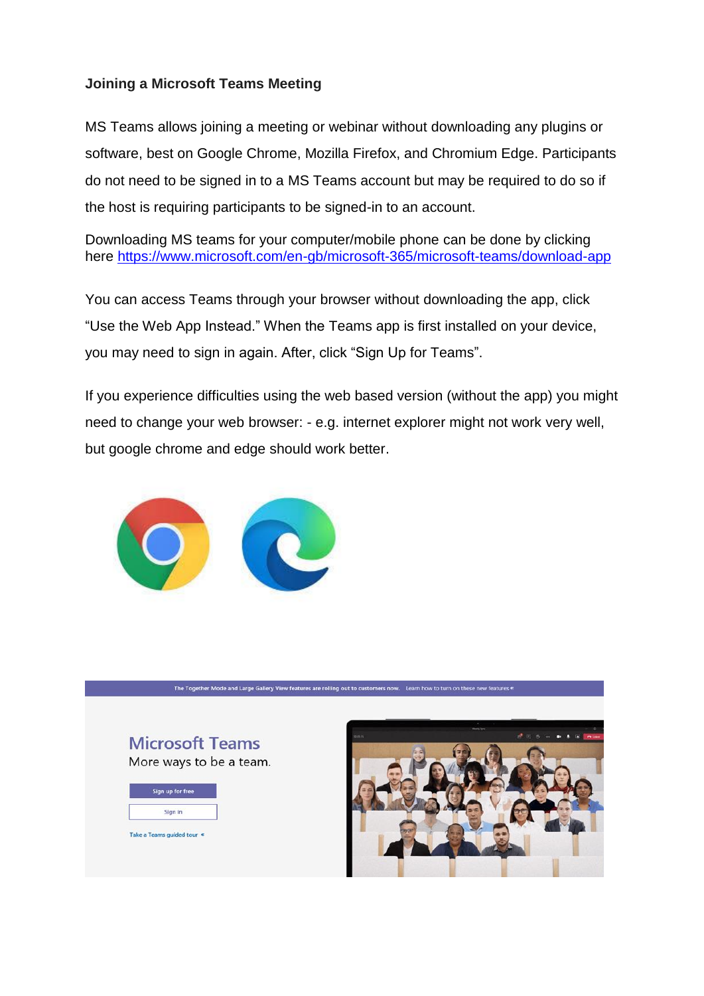# **Joining a Microsoft Teams Meeting**

MS Teams allows joining a meeting or webinar without downloading any plugins or software, best on Google Chrome, Mozilla Firefox, and Chromium Edge. Participants do not need to be signed in to a MS Teams account but may be required to do so if the host is requiring participants to be signed-in to an account.

Downloading MS teams for your computer/mobile phone can be done by clicking here<https://www.microsoft.com/en-gb/microsoft-365/microsoft-teams/download-app>

You can access Teams through your browser without downloading the app, click "Use the Web App Instead." When the Teams app is first installed on your device, you may need to sign in again. After, click "Sign Up for Teams".

If you experience difficulties using the web based version (without the app) you might need to change your web browser: - e.g. internet explorer might not work very well, but google chrome and edge should work better.



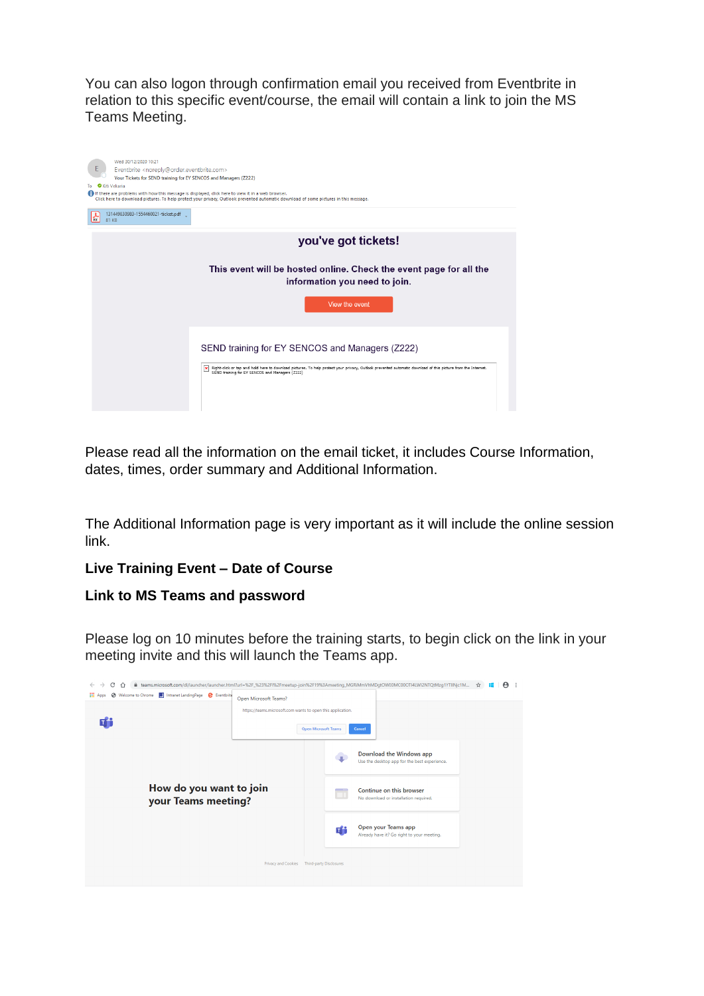You can also logon through confirmation email you received from Eventbrite in relation to this specific event/course, the email will contain a link to join the MS Teams Meeting.



Please read all the information on the email ticket, it includes Course Information, dates, times, order summary and Additional Information.

The Additional Information page is very important as it will include the online session link.

# **Live Training Event – Date of Course**

### **Link to MS Teams and password**

Please log on 10 minutes before the training starts, to begin click on the link in your meeting invite and this will launch the Teams app.

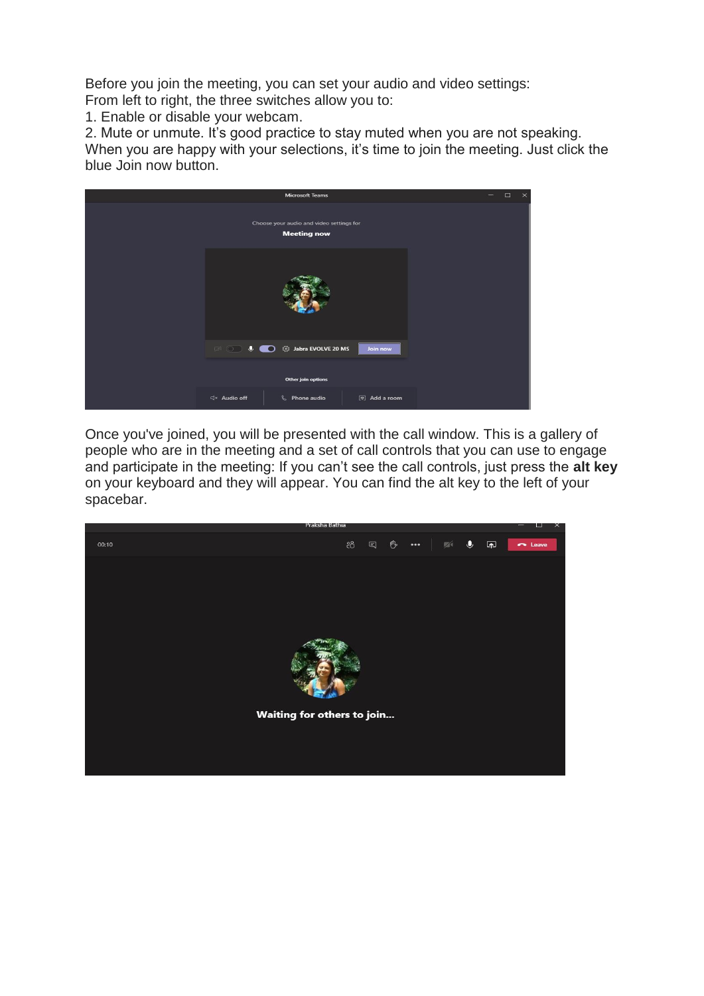Before you join the meeting, you can set your audio and video settings:

From left to right, the three switches allow you to:

1. Enable or disable your webcam.

2. Mute or unmute. It's good practice to stay muted when you are not speaking. When you are happy with your selections, it's time to join the meeting. Just click the blue Join now button.



Once you've joined, you will be presented with the call window. This is a gallery of people who are in the meeting and a set of call controls that you can use to engage and participate in the meeting: If you can't see the call controls, just press the **alt key**  on your keyboard and they will appear. You can find the alt key to the left of your spacebar.